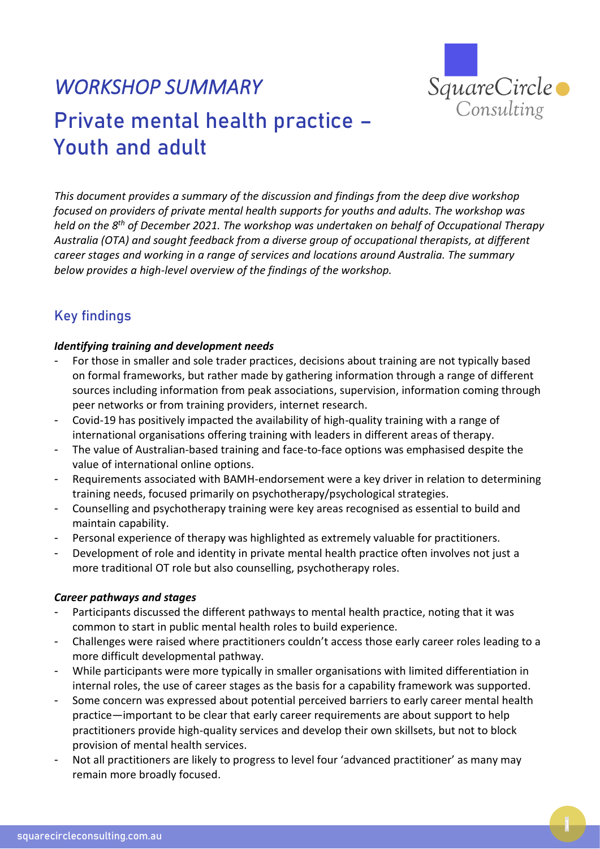

# *WORKSHOP SUMMARY*  Private mental health practice – Youth and adult

*This document provides a summary of the discussion and findings from the deep dive workshop focused on providers of private mental health supports for youths and adults. The workshop was held on the 8 th of December 2021. The workshop was undertaken on behalf of Occupational Therapy Australia (OTA) and sought feedback from a diverse group of occupational therapists, at different career stages and working in a range of services and locations around Australia. The summary below provides a high-level overview of the findings of the workshop.*

## Key findings

#### *Identifying training and development needs*

- For those in smaller and sole trader practices, decisions about training are not typically based on formal frameworks, but rather made by gathering information through a range of different sources including information from peak associations, supervision, information coming through peer networks or from training providers, internet research.
- Covid-19 has positively impacted the availability of high-quality training with a range of international organisations offering training with leaders in different areas of therapy.
- The value of Australian-based training and face-to-face options was emphasised despite the value of international online options.
- Requirements associated with BAMH-endorsement were a key driver in relation to determining training needs, focused primarily on psychotherapy/psychological strategies.
- Counselling and psychotherapy training were key areas recognised as essential to build and maintain capability.
- Personal experience of therapy was highlighted as extremely valuable for practitioners.
- Development of role and identity in private mental health practice often involves not just a more traditional OT role but also counselling, psychotherapy roles.

#### *Career pathways and stages*

- Participants discussed the different pathways to mental health practice, noting that it was common to start in public mental health roles to build experience.
- Challenges were raised where practitioners couldn't access those early career roles leading to a more difficult developmental pathway.
- While participants were more typically in smaller organisations with limited differentiation in internal roles, the use of career stages as the basis for a capability framework was supported.
- Some concern was expressed about potential perceived barriers to early career mental health practice—important to be clear that early career requirements are about support to help practitioners provide high-quality services and develop their own skillsets, but not to block provision of mental health services.
- Not all practitioners are likely to progress to level four 'advanced practitioner' as many may remain more broadly focused.